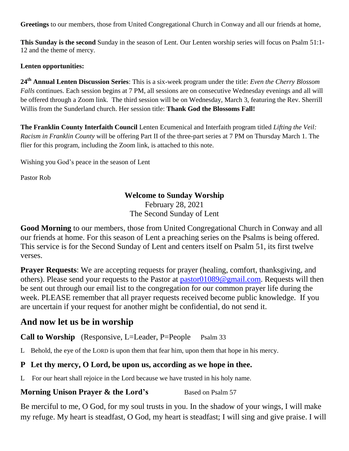**Greetings** to our members, those from United Congregational Church in Conway and all our friends at home,

**This Sunday is the second** Sunday in the season of Lent. Our Lenten worship series will focus on Psalm 51:1- 12 and the theme of mercy.

### **Lenten opportunities:**

**24th Annual Lenten Discussion Series**: This is a six-week program under the title: *Even the Cherry Blossom Falls* continues. Each session begins at 7 PM, all sessions are on consecutive Wednesday evenings and all will be offered through a Zoom link. The third session will be on Wednesday, March 3, featuring the Rev. Sherrill Willis from the Sunderland church. Her session title: **Thank God the Blossoms Fall!**

**The Franklin County Interfaith Council** Lenten Ecumenical and Interfaith program titled *Lifting the Veil: Racism in Franklin County* will be offering Part II of the three-part series at 7 PM on Thursday March 1. The flier for this program, including the Zoom link, is attached to this note.

Wishing you God's peace in the season of Lent

Pastor Rob

## **Welcome to Sunday Worship**

February 28, 2021 The Second Sunday of Lent

**Good Morning** to our members, those from United Congregational Church in Conway and all our friends at home. For this season of Lent a preaching series on the Psalms is being offered. This service is for the Second Sunday of Lent and centers itself on Psalm 51, its first twelve verses.

**Prayer Requests**: We are accepting requests for prayer (healing, comfort, thanksgiving, and others). Please send your requests to the Pastor at [pastor01089@gmail.com.](mailto:pastor01089@gmail.com) Requests will then be sent out through our email list to the congregation for our common prayer life during the week. PLEASE remember that all prayer requests received become public knowledge. If you are uncertain if your request for another might be confidential, do not send it.

# **And now let us be in worship**

**Call to Worship** (Responsive, L=Leader, P=People Psalm 33

L Behold, the eye of the LORD is upon them that fear him, upon them that hope in his mercy.

## **P Let thy mercy, O Lord, be upon us, according as we hope in thee.**

L For our heart shall rejoice in the Lord because we have trusted in his holy name.

## **Morning Unison Prayer & the Lord's** Based on Psalm 57

Be merciful to me, O God, for my soul trusts in you. In the shadow of your wings, I will make my refuge. My heart is steadfast, O God, my heart is steadfast; I will sing and give praise. I will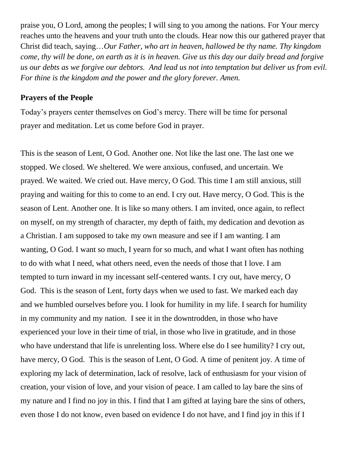praise you, O Lord, among the peoples; I will sing to you among the nations. For Your mercy reaches unto the heavens and your truth unto the clouds. Hear now this our gathered prayer that Christ did teach, saying…*Our Father, who art in heaven, hallowed be thy name. Thy kingdom come, thy will be done, on earth as it is in heaven. Give us this day our daily bread and forgive us our debts as we forgive our debtors. And lead us not into temptation but deliver us from evil. For thine is the kingdom and the power and the glory forever. Amen.*

## **Prayers of the People**

Today's prayers center themselves on God's mercy. There will be time for personal prayer and meditation. Let us come before God in prayer.

This is the season of Lent, O God. Another one. Not like the last one. The last one we stopped. We closed. We sheltered. We were anxious, confused, and uncertain. We prayed. We waited. We cried out. Have mercy, O God. This time I am still anxious, still praying and waiting for this to come to an end. I cry out. Have mercy, O God. This is the season of Lent. Another one. It is like so many others. I am invited, once again, to reflect on myself, on my strength of character, my depth of faith, my dedication and devotion as a Christian. I am supposed to take my own measure and see if I am wanting. I am wanting, O God. I want so much, I yearn for so much, and what I want often has nothing to do with what I need, what others need, even the needs of those that I love. I am tempted to turn inward in my incessant self-centered wants. I cry out, have mercy, O God. This is the season of Lent, forty days when we used to fast. We marked each day and we humbled ourselves before you. I look for humility in my life. I search for humility in my community and my nation. I see it in the downtrodden, in those who have experienced your love in their time of trial, in those who live in gratitude, and in those who have understand that life is unrelenting loss. Where else do I see humility? I cry out, have mercy, O God. This is the season of Lent, O God. A time of penitent joy. A time of exploring my lack of determination, lack of resolve, lack of enthusiasm for your vision of creation, your vision of love, and your vision of peace. I am called to lay bare the sins of my nature and I find no joy in this. I find that I am gifted at laying bare the sins of others, even those I do not know, even based on evidence I do not have, and I find joy in this if I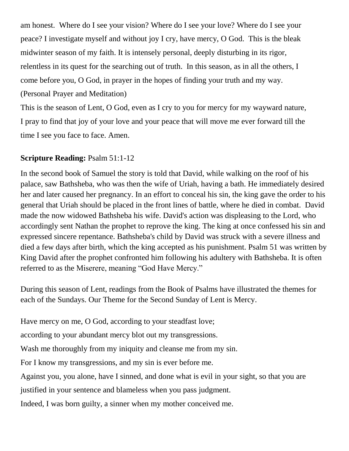am honest. Where do I see your vision? Where do I see your love? Where do I see your peace? I investigate myself and without joy I cry, have mercy, O God. This is the bleak midwinter season of my faith. It is intensely personal, deeply disturbing in its rigor, relentless in its quest for the searching out of truth. In this season, as in all the others, I come before you, O God, in prayer in the hopes of finding your truth and my way. (Personal Prayer and Meditation) This is the season of Lent, O God, even as I cry to you for mercy for my wayward nature,

I pray to find that joy of your love and your peace that will move me ever forward till the time I see you face to face. Amen.

# **Scripture Reading:** Psalm 51:1-12

In the second book of Samuel the story is told that David, while walking on the roof of his palace, saw Bathsheba, who was then the wife of Uriah, having a bath. He immediately desired her and later caused her pregnancy. In an effort to conceal his sin, the king gave the order to his general that Uriah should be placed in the front lines of battle, where he died in combat. David made the now widowed Bathsheba his wife. David's action was displeasing to the Lord, who accordingly sent Nathan the prophet to reprove the king. The king at once confessed his sin and expressed sincere repentance. Bathsheba's child by David was struck with a severe illness and died a few days after birth, which the king accepted as his punishment. Psalm 51 was written by King David after the prophet confronted him following his adultery with Bathsheba. It is often referred to as the Miserere, meaning "God Have Mercy."

During this season of Lent, readings from the Book of Psalms have illustrated the themes for each of the Sundays. Our Theme for the Second Sunday of Lent is Mercy.

Have mercy on me, O God, according to your steadfast love;

according to your abundant mercy blot out my transgressions.

Wash me thoroughly from my iniquity and cleanse me from my sin.

For I know my transgressions, and my sin is ever before me.

Against you, you alone, have I sinned, and done what is evil in your sight, so that you are

justified in your sentence and blameless when you pass judgment.

Indeed, I was born guilty, a sinner when my mother conceived me.